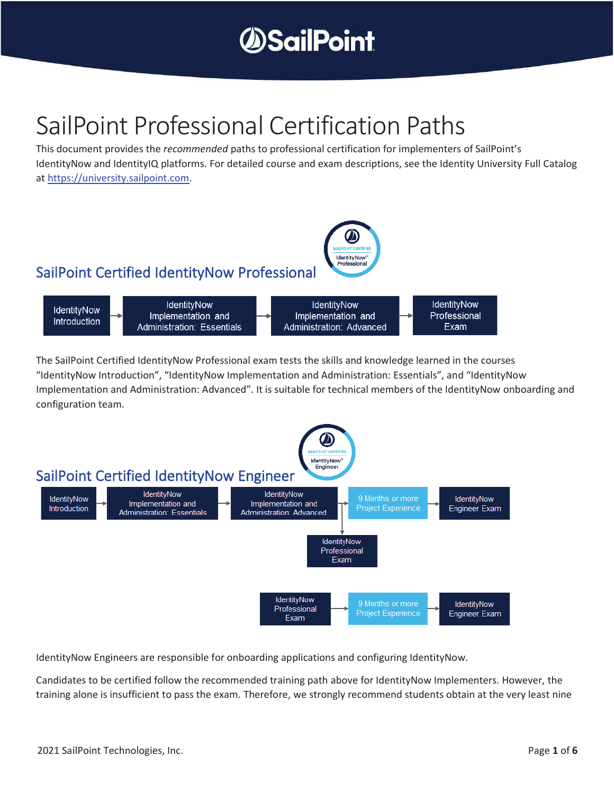

## SailPoint Professional Certification Paths

This document provides the *recommended* paths to professional certification for implementers of SailPoint's IdentityNow and IdentityIQ platforms. For detailed course and exam descriptions, see the Identity University Full Catalog at https://university.sailpoint.com.



The SailPoint Certified IdentityNow Professional exam tests the skills and knowledge learned in the courses "IdentityNow Introduction", "IdentityNow Implementation and Administration: Essentials", and "IdentityNow Implementation and Administration: Advanced". It is suitable for technical members of the IdentityNow onboarding and configuration team.



IdentityNow Engineers are responsible for onboarding applications and configuring IdentityNow.

Candidates to be certified follow the recommended training path above for IdentityNow Implementers. However, the training alone is insufficient to pass the exam. Therefore, we strongly recommend students obtain at the very least nine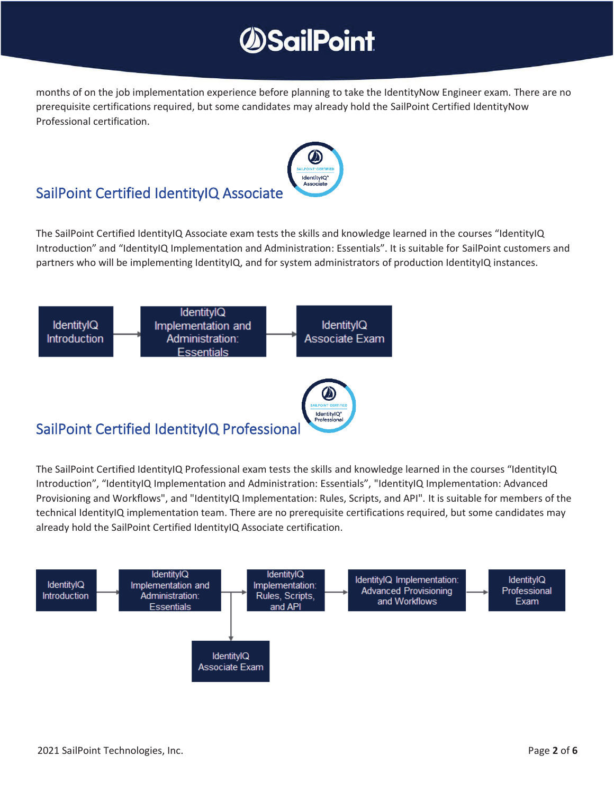## **SailPoint**

months of on the job implementation experience before planning to take the IdentityNow Engineer exam. There are no prerequisite certifications required, but some candidates may already hold the SailPoint Certified IdentityNow Professional certification.



### SailPoint Certified IdentityIQ Associate

The SailPoint Certified IdentityIQ Associate exam tests the skills and knowledge learned in the courses "IdentityIQ Introduction" and "IdentityIQ Implementation and Administration: Essentials". It is suitable for SailPoint customers and partners who will be implementing IdentityIQ, and for system administrators of production IdentityIQ instances.



The SailPoint Certified IdentityIQ Professional exam tests the skills and knowledge learned in the courses "IdentityIQ Introduction", "IdentityIQ Implementation and Administration: Essentials", "IdentityIQ Implementation: Advanced Provisioning and Workflows", and "IdentityIQ Implementation: Rules, Scripts, and API". It is suitable for members of the technical IdentityIQ implementation team. There are no prerequisite certifications required, but some candidates may already hold the SailPoint Certified IdentityIQ Associate certification.

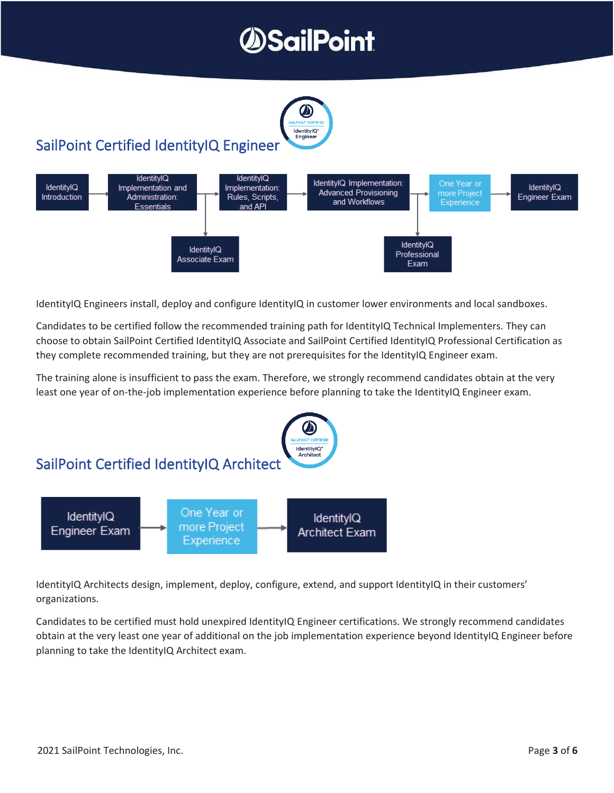# **SailPoint**



### SailPoint Certified IdentityIQ Engineer



IdentityIQ Engineers install, deploy and configure IdentityIQ in customer lower environments and local sandboxes.

Candidates to be certified follow the recommended training path for IdentityIQ Technical Implementers. They can choose to obtain SailPoint Certified IdentityIQ Associate and SailPoint Certified IdentityIQ Professional Certification as they complete recommended training, but they are not prerequisites for the IdentityIQ Engineer exam.

The training alone is insufficient to pass the exam. Therefore, we strongly recommend candidates obtain at the very least one year of on-the-job implementation experience before planning to take the IdentityIQ Engineer exam.



IdentityIQ Architects design, implement, deploy, configure, extend, and support IdentityIQ in their customers' organizations.

Candidates to be certified must hold unexpired IdentityIQ Engineer certifications. We strongly recommend candidates obtain at the very least one year of additional on the job implementation experience beyond IdentityIQ Engineer before planning to take the IdentityIQ Architect exam.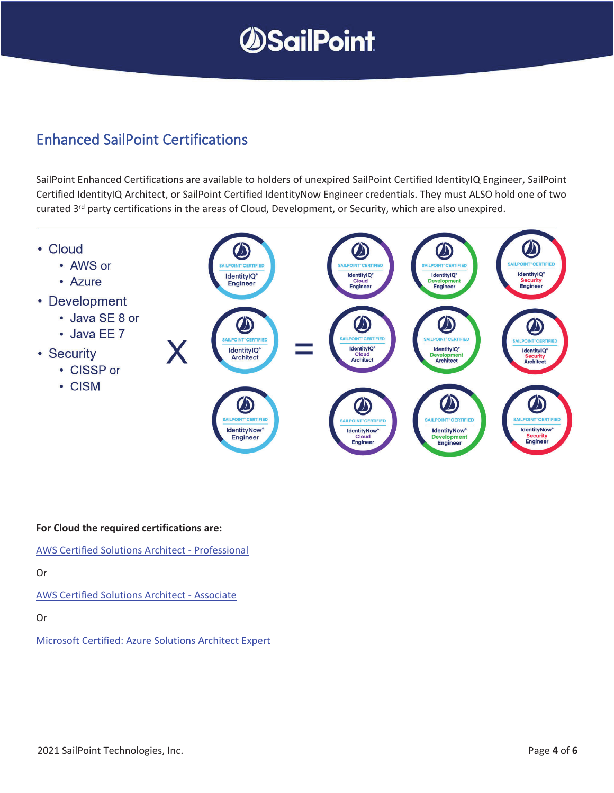

### Enhanced SailPoint Certifications

SailPoint Enhanced Certifications are available to holders of unexpired SailPoint Certified IdentityIQ Engineer, SailPoint Certified IdentityIQ Architect, or SailPoint Certified IdentityNow Engineer credentials. They must ALSO hold one of two curated 3<sup>rd</sup> party certifications in the areas of Cloud, Development, or Security, which are also unexpired.



**For Cloud the required certifications are:** 

AWS Certified Solutions Architect - Professional

Or

AWS Certified Solutions Architect - Associate

Or

Microsoft Certified: Azure Solutions Architect Expert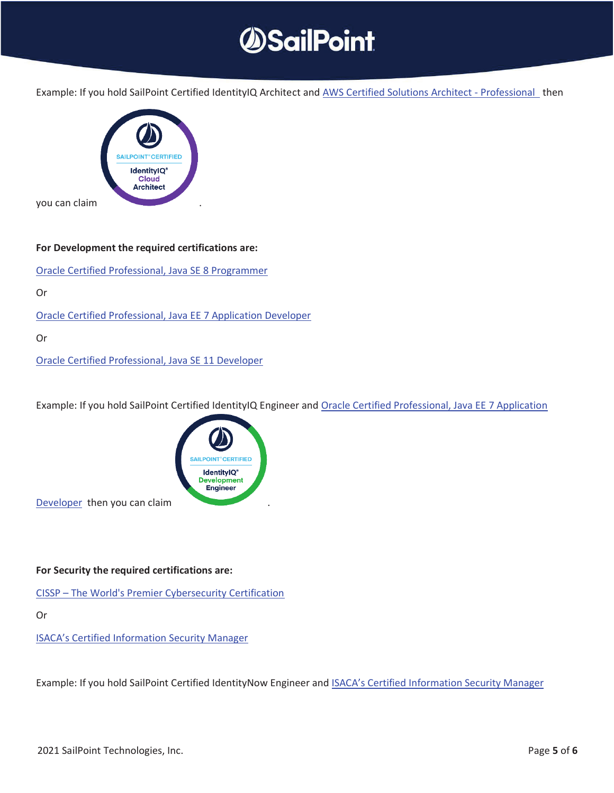

Example: If you hold SailPoint Certified IdentityIQ Architect and AWS Certified Solutions Architect - Professional then



#### **For Development the required certifications are:**

Oracle Certified Professional, Java SE 8 Programmer

Or

Oracle Certified Professional, Java EE 7 Application Developer

Or

Oracle Certified Professional, Java SE 11 Developer

Example: If you hold SailPoint Certified IdentityIQ Engineer and Oracle Certified Professional, Java EE 7 Application



Developer then you can claim

#### **For Security the required certifications are:**

CISSP – The World's Premier Cybersecurity Certification

Or

ISACA's Certified Information Security Manager

Example: If you hold SailPoint Certified IdentityNow Engineer and ISACA's Certified Information Security Manager